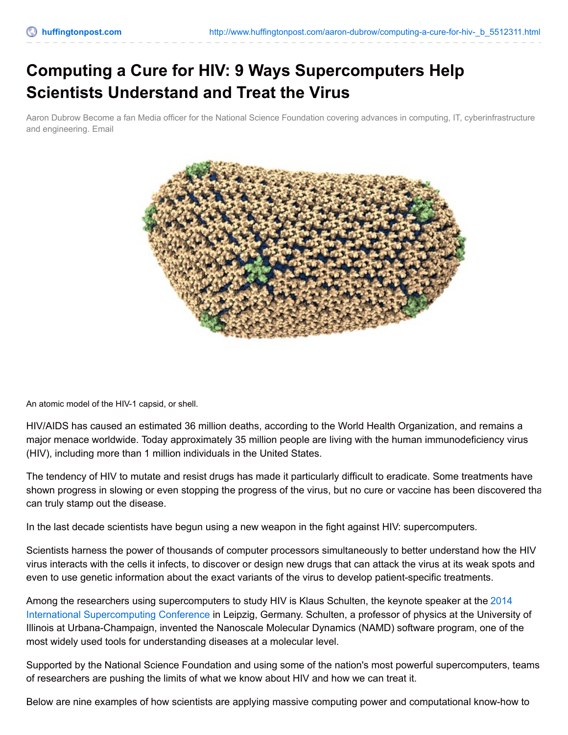# **Computing a Cure for HIV: 9 Ways Supercomputers Help Scientists Understand and Treat the Virus**

Aaron Dubrow Become a fan Media officer for the National Science Foundation covering advances in computing, IT, cyberinfrastructure and engineering. Email



An atomic model of the HIV-1 capsid, or shell.

HIV/AIDS has caused an estimated 36 million deaths, according to the World Health Organization, and remains a major menace worldwide. Today approximately 35 million people are living with the human immunodeficiency virus (HIV), including more than 1 million individuals in the United States.

The tendency of HIV to mutate and resist drugs has made it particularly difficult to eradicate. Some treatments have shown progress in slowing or even stopping the progress of the virus, but no cure or vaccine has been discovered tha can truly stamp out the disease.

In the last decade scientists have begun using a new weapon in the fight against HIV: supercomputers.

Scientists harness the power of thousands of computer processors simultaneously to better understand how the HIV virus interacts with the cells it infects, to discover or design new drugs that can attack the virus at its weak spots and even to use genetic information about the exact variants of the virus to develop patient-specific treatments.

Among the researchers using [supercomputers](http://www.isc-events.com/isc14/) to study HIV is Klaus Schulten, the keynote speaker at the 2014 International Supercomputing Conference in Leipzig, Germany. Schulten, a professor of physics at the University of Illinois at Urbana-Champaign, invented the Nanoscale Molecular Dynamics (NAMD) software program, one of the most widely used tools for understanding diseases at a molecular level.

Supported by the National Science Foundation and using some of the nation's most powerful supercomputers, teams of researchers are pushing the limits of what we know about HIV and how we can treat it.

Below are nine examples of how scientists are applying massive computing power and computational know-how to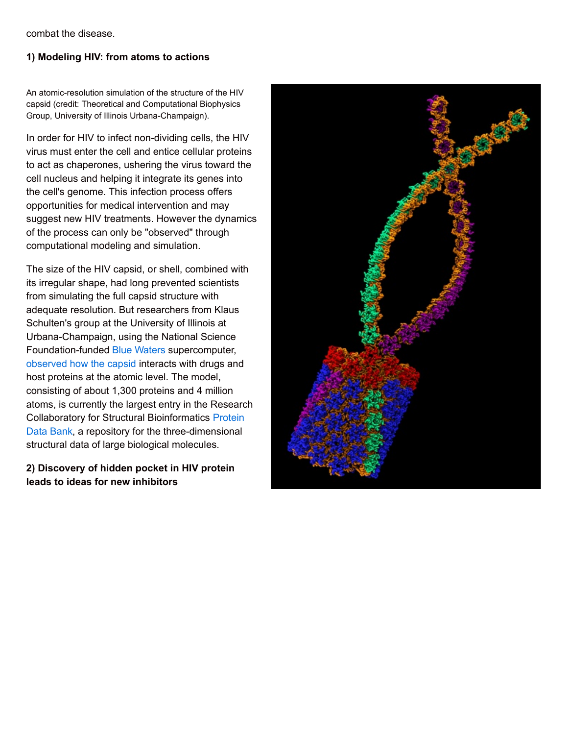#### combat the disease.

### **1) Modeling HIV: from atoms to actions**

An atomic-resolution simulation of the structure of the HIV capsid (credit: Theoretical and Computational Biophysics Group, University of Illinois Urbana-Champaign).

In order for HIV to infect non-dividing cells, the HIV virus must enter the cell and entice cellular proteins to act as chaperones, ushering the virus toward the cell nucleus and helping it integrate its genes into the cell's genome. This infection process offers opportunities for medical intervention and may suggest new HIV treatments. However the dynamics of the process can only be "observed" through computational modeling and simulation.

The size of the HIV capsid, or shell, combined with its irregular shape, had long prevented scientists from simulating the full capsid structure with adequate resolution. But researchers from Klaus Schulten's group at the University of Illinois at Urbana-Champaign, using the National Science Foundation-funded Blue [Waters](https://bluewaters.ncsa.illinois.edu/) supercomputer, [observed](http://www.ncbi.nlm.nih.gov/pmc/articles/PMC3729984/pdf/nihms500940.pdf) how the capsid interacts with drugs and host proteins at the atomic level. The model, consisting of about 1,300 proteins and 4 million atoms, is currently the largest entry in the Research Collaboratory for Structural Bioinformatics Protein Data Bank, a repository for the [three-dimensional](http://www.rcsb.org/pdb/home/home.do) structural data of large biological molecules.

#### **2) Discovery of hidden pocket in HIV protein leads to ideas for new inhibitors**

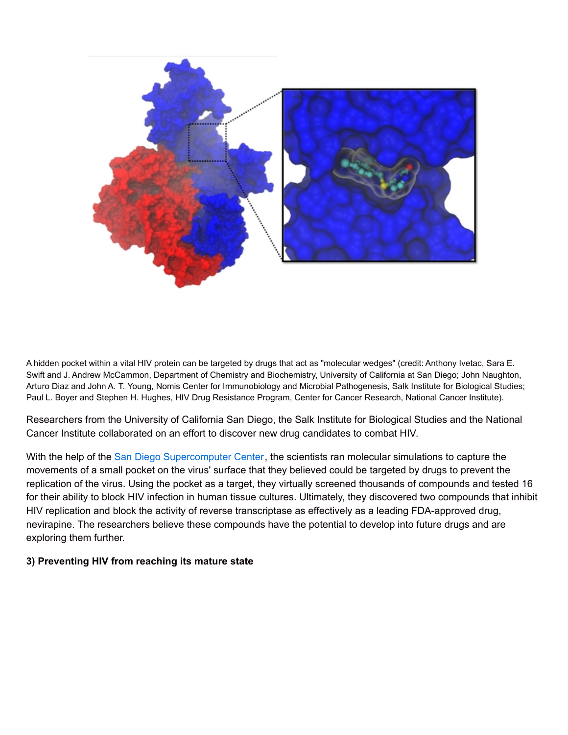

A hidden pocket within a vital HIV protein can be targeted by drugs that act as "molecular wedges" (credit: Anthony Ivetac, Sara E. Swift and J. Andrew McCammon, Department of Chemistry and Biochemistry, University of California at San Diego; John Naughton, Arturo Diaz and John A. T. Young, Nomis Center for Immunobiology and Microbial Pathogenesis, Salk Institute for Biological Studies; Paul L. Boyer and Stephen H. Hughes, HIV Drug Resistance Program, Center for Cancer Research, National Cancer Institute).

Researchers from the University of California San Diego, the Salk Institute for Biological Studies and the National Cancer Institute collaborated on an effort to discover new drug candidates to combat HIV.

With the help of the San Diego [Supercomputer](http://www.sdsc.edu/) Center, the scientists ran molecular simulations to capture the movements of a small pocket on the virus' surface that they believed could be targeted by drugs to prevent the replication of the virus. Using the pocket as a target, they virtually screened thousands of compounds and tested 16 for their ability to block HIV infection in human tissue cultures. Ultimately, they discovered two compounds that inhibit HIV replication and block the activity of reverse transcriptase as effectively as a leading FDA-approved drug, nevirapine. The researchers believe these compounds have the potential to develop into future drugs and are exploring them further.

### **3) Preventing HIV from reaching its mature state**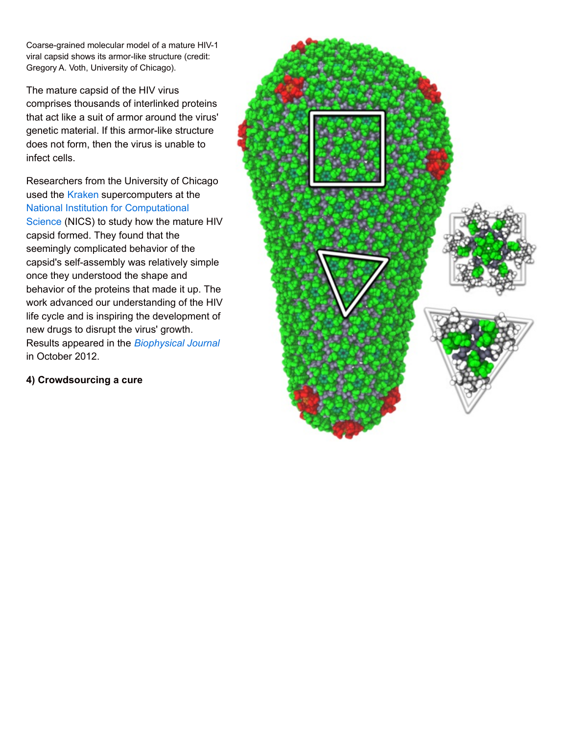Coarse-grained molecular model of a mature HIV-1 viral capsid shows its armor-like structure (credit: Gregory A. Voth, University of Chicago).

The mature capsid of the HIV virus comprises thousands of interlinked proteins that act like a suit of armor around the virus' genetic material. If this armor-like structure does not form, then the virus is unable to infect cells.

Researchers from the University of Chicago used the [Kraken](http://www.nics.tennessee.edu/computing-resources/kraken) supercomputers at the National Institution for [Computational](http://www.nics.tennessee.edu/) Science (NICS) to study how the mature HIV capsid formed. They found that the seemingly complicated behavior of the capsid's self-assembly was relatively simple once they understood the shape and behavior of the proteins that made it up. The work advanced our understanding of the HIV life cycle and is inspiring the development of new drugs to disrupt the virus' growth. Results appeared in the *[Biophysical](http://www.sciencedirect.com/science/article/pii/S0006349512010193) Journal* in October 2012.

**4) Crowdsourcing a cure**

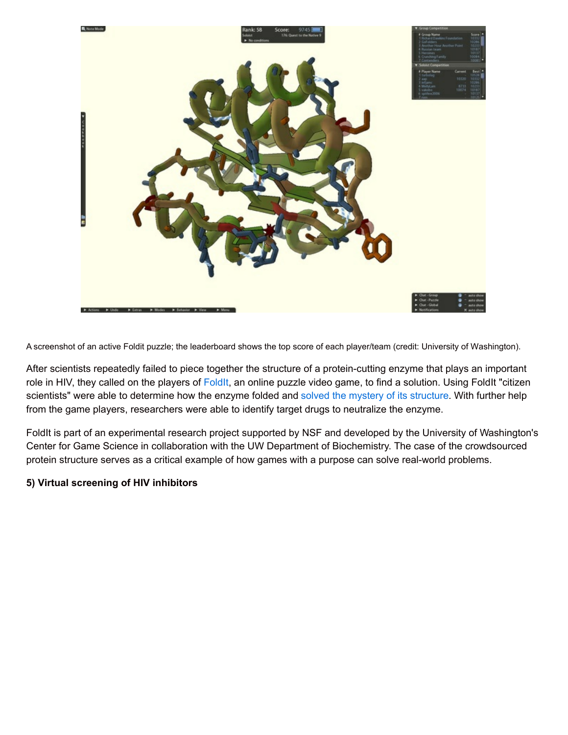

A screenshot of an active Foldit puzzle; the leaderboard shows the top score of each player/team (credit: University of Washington).

After scientists repeatedly failed to piece together the structure of a protein-cutting enzyme that plays an important role in HIV, they called on the players of [FoldIt](https://fold.it/portal/), an online puzzle video game, to find a solution. Using FoldIt "citizen scientists" were able to determine how the enzyme folded and solved the mystery of its [structure](http://www.scientificamerican.com/article/foldit-gamers-solve-riddle/). With further help from the game players, researchers were able to identify target drugs to neutralize the enzyme.

FoldIt is part of an experimental research project supported by NSF and developed by the University of Washington's Center for Game Science in collaboration with the UW Department of Biochemistry. The case of the crowdsourced protein structure serves as a critical example of how games with a purpose can solve real-world problems.

### **5) Virtual screening of HIV inhibitors**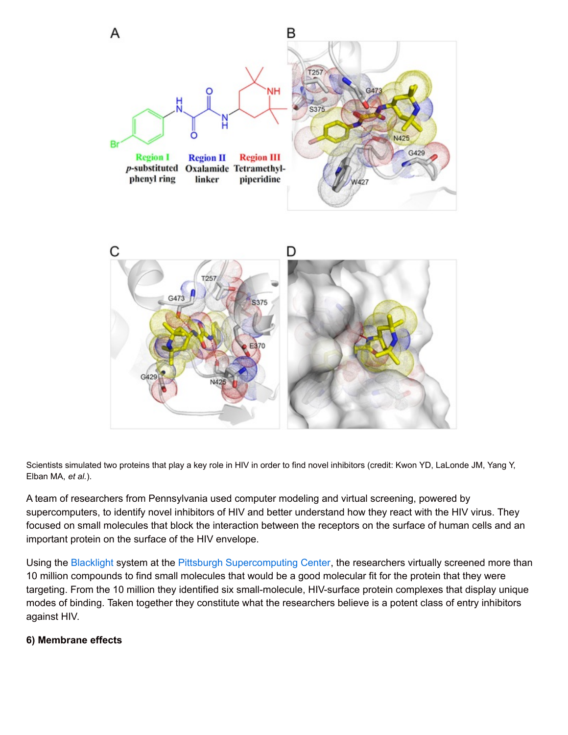

Scientists simulated two proteins that play a key role in HIV in order to find novel inhibitors (credit: Kwon YD, LaLonde JM, Yang Y, Elban MA, *et al.*).

A team of researchers from Pennsylvania used computer modeling and virtual screening, powered by supercomputers, to identify novel inhibitors of HIV and better understand how they react with the HIV virus. They focused on small molecules that block the interaction between the receptors on the surface of human cells and an important protein on the surface of the HIV envelope.

Using the [Blacklight](https://www.psc.edu/index.php/computing-resources/blacklight) system at the Pittsburgh [Supercomputing](http://www.psc.edu/) Center, the researchers virtually screened more than 10 million compounds to find small molecules that would be a good molecular fit for the protein that they were targeting. From the 10 million they identified six small-molecule, HIV-surface protein complexes that display unique modes of binding. Taken together they constitute what the researchers believe is a potent class of entry inhibitors against HIV.

# **6) Membrane effects**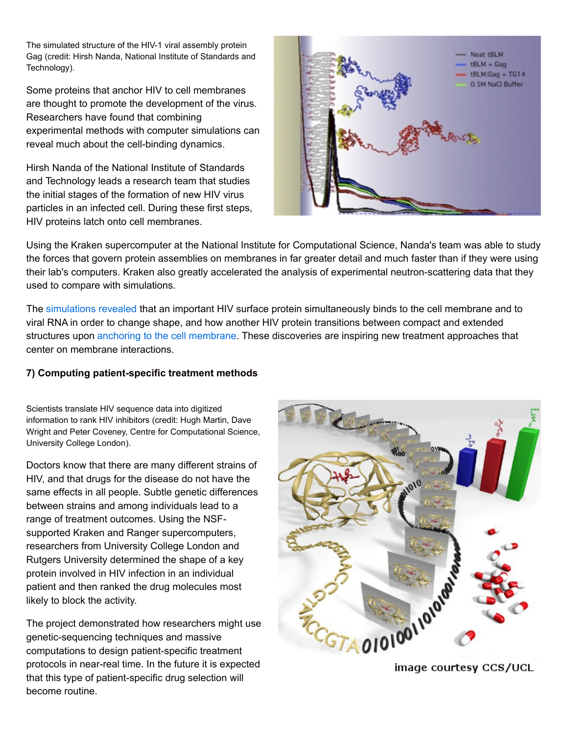The simulated structure of the HIV-1 viral assembly protein Gag (credit: Hirsh Nanda, National Institute of Standards and Technology).

Some proteins that anchor HIV to cell membranes are thought to promote the development of the virus. Researchers have found that combining experimental methods with computer simulations can reveal much about the cell-binding dynamics.

Hirsh Nanda of the National Institute of Standards and Technology leads a research team that studies the initial stages of the formation of new HIV virus particles in an infected cell. During these first steps, HIV proteins latch onto cell membranes.



Using the Kraken supercomputer at the National Institute for Computational Science, Nanda's team was able to study the forces that govern protein assemblies on membranes in far greater detail and much faster than if they were using their lab's computers. Kraken also greatly accelerated the analysis of experimental neutron-scattering data that they used to compare with simulations.

The [simulations](http://www.ncbi.nlm.nih.gov/pmc/articles/PMC3046808/) revealed that an important HIV surface protein simultaneously binds to the cell membrane and to viral RNA in order to change shape, and how another HIV protein transitions between compact and extended structures upon anchoring to the cell [membrane](http://www.ncbi.nlm.nih.gov/pubmed/24035710). These discoveries are inspiring new treatment approaches that center on membrane interactions.

## **7) Computing patient-specific treatment methods**

Scientists translate HIV sequence data into digitized information to rank HIV inhibitors (credit: Hugh Martin, Dave Wright and Peter Coveney, Centre for Computational Science, University College London).

Doctors know that there are many different strains of HIV, and that drugs for the disease do not have the same effects in all people. Subtle genetic differences between strains and among individuals lead to a range of treatment outcomes. Using the NSFsupported Kraken and Ranger supercomputers, researchers from University College London and Rutgers University determined the shape of a key protein involved in HIV infection in an individual patient and then ranked the drug molecules most likely to block the activity.

The project demonstrated how researchers might use genetic-sequencing techniques and massive computations to design patient-specific treatment protocols in near-real time. In the future it is expected that this type of patient-specific drug selection will become routine.



image courtesy CCS/UCL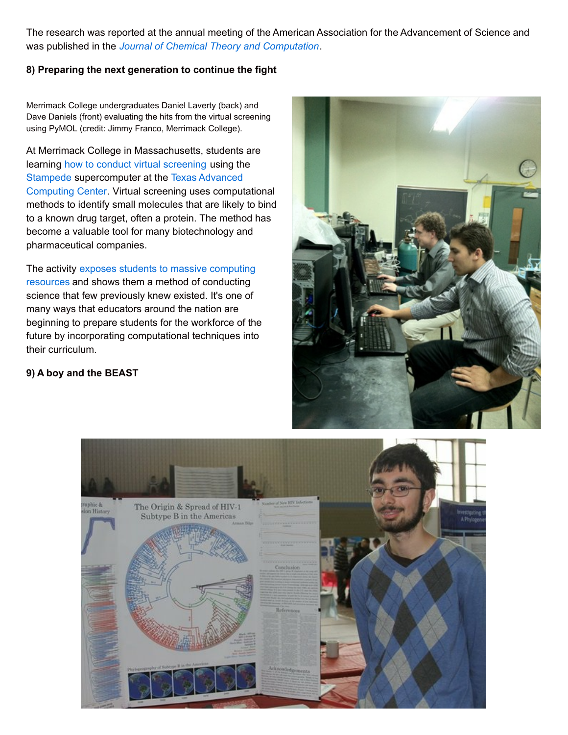The research was reported at the annual meeting of the American Association for the Advancement of Science and was published in the *Journal of Chemical Theory and [Computation](http://pubs.acs.org/doi/ipdf/10.1021/ct4007037)*.

### **8) Preparing the next generation to continue the fight**

Merrimack College undergraduates Daniel Laverty (back) and Dave Daniels (front) evaluating the hits from the virtual screening using PyMOL (credit: Jimmy Franco, Merrimack College).

At Merrimack College in Massachusetts, students are learning how to conduct virtual [screening](http://delivery.acm.org/10.1145/2490000/2484766/a5-toth.pdf?ip=128.150.122.145&id=2484766&acc=ACTIVE SERVICE&key=84AAAB53B5231383%2E4D4702B0C3E38B35%2E4D4702B0C3E38B35%2E4D4702B0C3E38B35&CFID=360063101&CFTOKEN=42400082&__acm__=1403201265_bce127993167669c4fd8fa41e789f818) using the [Stampede](https://www.tacc.utexas.edu/stampede/) [supercomputer](https://www.tacc.utexas.edu/) at the Texas Advanced Computing Center. Virtual screening uses computational methods to identify small molecules that are likely to bind to a known drug target, often a protein. The method has become a valuable tool for many biotechnology and pharmaceutical companies.

The activity exposes students to massive [computing](https://www.tacc.utexas.edu/news/feature-stories/2012/next-gen-chemists) resources and shows them a method of conducting science that few previously knew existed. It's one of many ways that educators around the nation are beginning to prepare students for the workforce of the future by incorporating computational techniques into their curriculum.

#### **9) A boy and the BEAST**